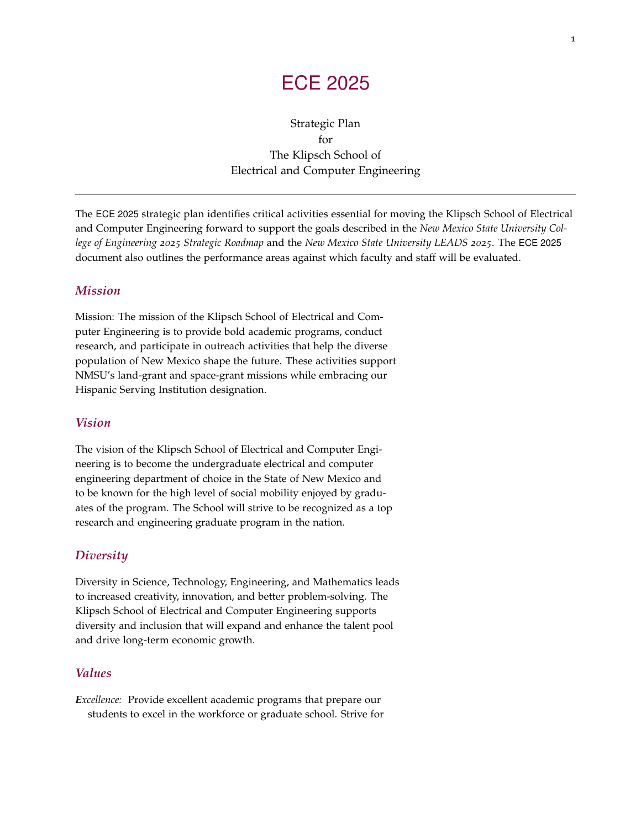# ECE 2025

Strategic Plan for The Klipsch School of Electrical and Computer Engineering

The ECE 2025 strategic plan identifies critical activities essential for moving the Klipsch School of Electrical and Computer Engineering forward to support the goals described in the *New Mexico State University College of Engineering 2025 Strategic Roadmap* and the *New Mexico State University LEADS 2025*. The ECE 2025 document also outlines the performance areas against which faculty and staff will be evaluated.

### *Mission*

Mission: The mission of the Klipsch School of Electrical and Computer Engineering is to provide bold academic programs, conduct research, and participate in outreach activities that help the diverse population of New Mexico shape the future. These activities support NMSU's land-grant and space-grant missions while embracing our Hispanic Serving Institution designation.

### *Vision*

The vision of the Klipsch School of Electrical and Computer Engineering is to become the undergraduate electrical and computer engineering department of choice in the State of New Mexico and to be known for the high level of social mobility enjoyed by graduates of the program. The School will strive to be recognized as a top research and engineering graduate program in the nation.

### *Diversity*

Diversity in Science, Technology, Engineering, and Mathematics leads to increased creativity, innovation, and better problem-solving. The Klipsch School of Electrical and Computer Engineering supports diversity and inclusion that will expand and enhance the talent pool and drive long-term economic growth.

### *Values*

*Excellence:* Provide excellent academic programs that prepare our students to excel in the workforce or graduate school. Strive for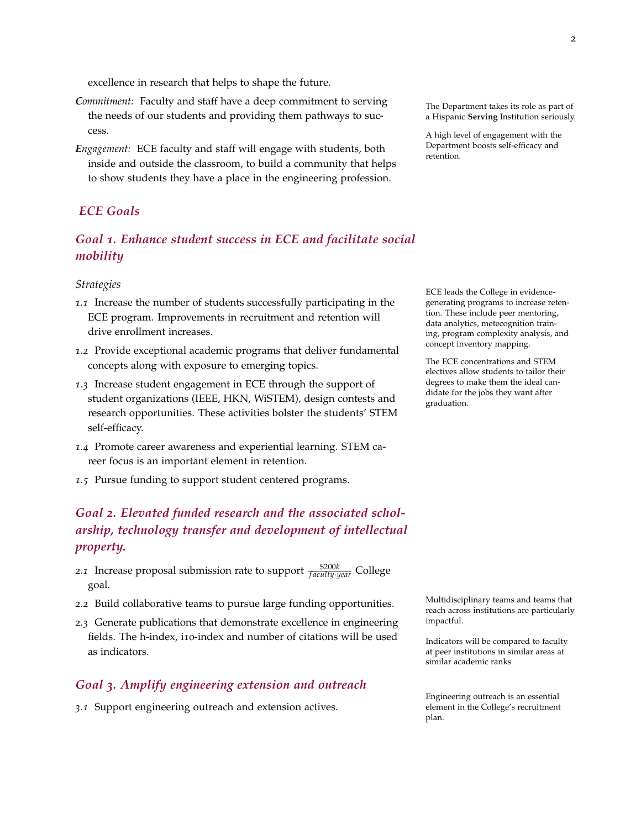excellence in research that helps to shape the future.

- *Commitment:* Faculty and staff have a deep commitment to serving the needs of our students and providing them pathways to success. A high level of engagement with the
- *Engagement:* ECE faculty and staff will engage with students, both inside and outside the classroom, to build a community that helps to show students they have a place in the engineering profession.

## *ECE Goals*

# *Goal 1. Enhance student success in ECE and facilitate social mobility*

#### *Strategies*

- *1.1* Increase the number of students successfully participating in the ECE program. Improvements in recruitment and retention will drive enrollment increases.
- *1.2* Provide exceptional academic programs that deliver fundamental concepts along with exposure to emerging topics.
- *1.3* Increase student engagement in ECE through the support of student organizations (IEEE, HKN, WiSTEM), design contests and research opportunities. These activities bolster the students' STEM self-efficacy.
- *1.4* Promote career awareness and experiential learning. STEM career focus is an important element in retention.
- *1.5* Pursue funding to support student centered programs.

# *Goal 2. Elevated funded research and the associated scholarship, technology transfer and development of intellectual property.*

- 2.*1* Increase proposal submission rate to support  $\frac{\$200k}{\mathit{faculty} \cdot \mathit{year}}$  College goal.
- *2.2* Build collaborative teams to pursue large funding opportunities.
- *2.3* Generate publications that demonstrate excellence in engineering fields. The h-index, i10-index and number of citations will be used as indicators.

### *Goal 3. Amplify engineering extension and outreach*

*3.1* Support engineering outreach and extension actives.

The Department takes its role as part of a Hispanic **Serving** Institution seriously.

Department boosts self-efficacy and retention.

ECE leads the College in evidencegenerating programs to increase retention. These include peer mentoring, data analytics, metecognition training, program complexity analysis, and concept inventory mapping.

The ECE concentrations and STEM electives allow students to tailor their degrees to make them the ideal candidate for the jobs they want after graduation.

Multidisciplinary teams and teams that reach across institutions are particularly impactful.

Indicators will be compared to faculty at peer institutions in similar areas at similar academic ranks

Engineering outreach is an essential element in the College's recruitment plan.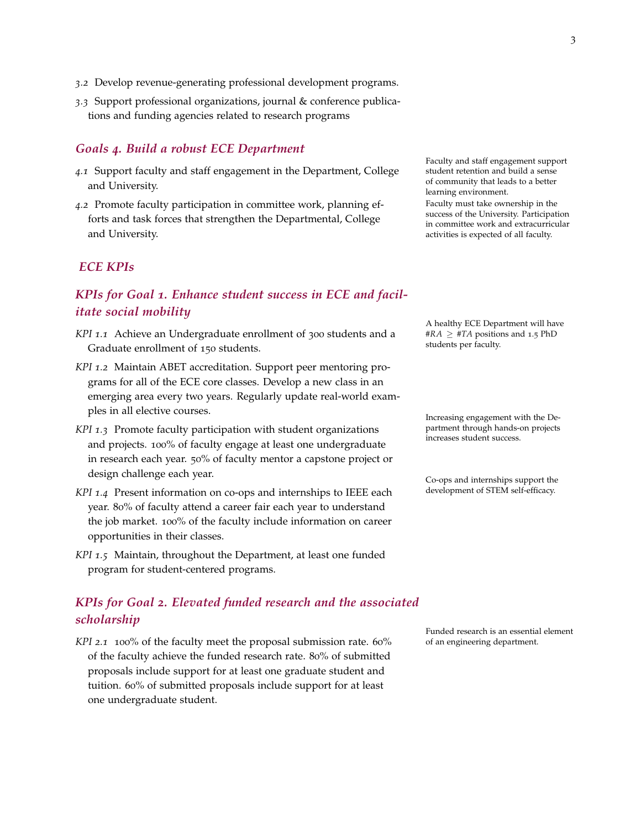- *3.2* Develop revenue-generating professional development programs.
- *3.3* Support professional organizations, journal & conference publications and funding agencies related to research programs

#### *Goals 4. Build a robust ECE Department*

- *4.1* Support faculty and staff engagement in the Department, College and University.
- *4.2* Promote faculty participation in committee work, planning efforts and task forces that strengthen the Departmental, College and University.

### *ECE KPIs*

# *KPIs for Goal 1. Enhance student success in ECE and facilitate social mobility*

- *KPI 1.1* Achieve an Undergraduate enrollment of 300 students and a Graduate enrollment of 150 students.
- *KPI 1.2* Maintain ABET accreditation. Support peer mentoring programs for all of the ECE core classes. Develop a new class in an emerging area every two years. Regularly update real-world examples in all elective courses. Increasing engagement with the De-
- *KPI 1.3* Promote faculty participation with student organizations and projects. 100% of faculty engage at least one undergraduate in research each year. 50% of faculty mentor a capstone project or design challenge each year. The same of the co-ops and internships support the co-ops and internships support the
- *KPI* 1.4 Present information on co-ops and internships to IEEE each development of STEM self-efficacy. year. 80% of faculty attend a career fair each year to understand the job market. 100% of the faculty include information on career opportunities in their classes.
- *KPI 1.5* Maintain, throughout the Department, at least one funded program for student-centered programs.

# *KPIs for Goal 2. Elevated funded research and the associated scholarship*

*KPI* 2.1 100% of the faculty meet the proposal submission rate. 60% of an engineering department. of the faculty achieve the funded research rate. 80% of submitted proposals include support for at least one graduate student and tuition. 60% of submitted proposals include support for at least one undergraduate student.

Faculty and staff engagement support student retention and build a sense of community that leads to a better learning environment. Faculty must take ownership in the

success of the University. Participation in committee work and extracurricular activities is expected of all faculty.

A healthy ECE Department will have  $#RA \geq #TA$  positions and 1.5 PhD students per faculty.

partment through hands-on projects increases student success.

Funded research is an essential element